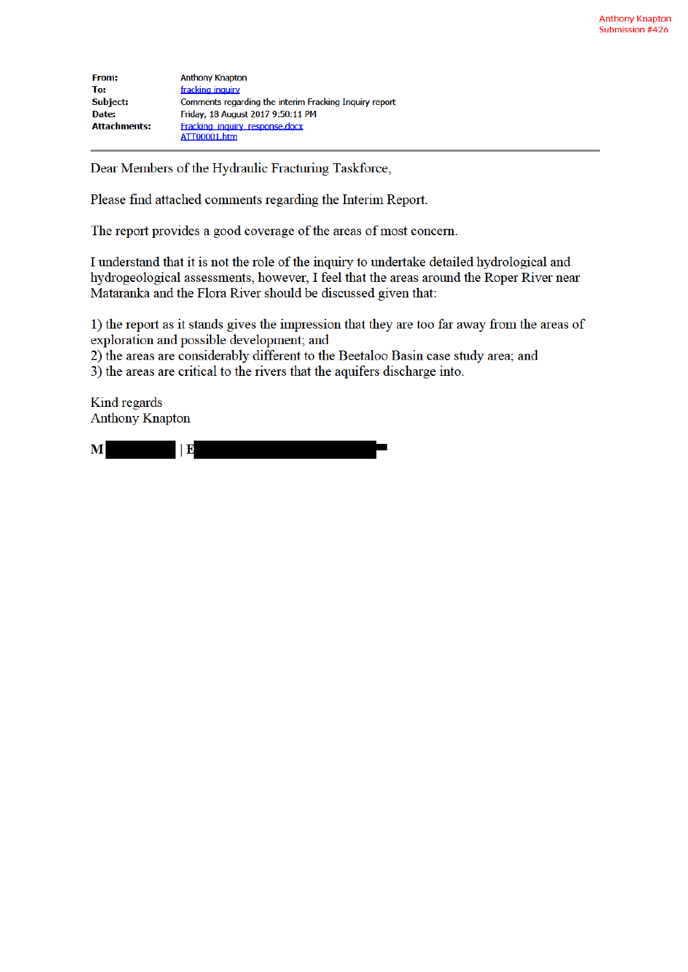| <b>From:</b>        | <b>Anthony Knapton</b>                                 |
|---------------------|--------------------------------------------------------|
| To:                 | fracking inquiry                                       |
| Subject:            | Comments regarding the interim Fracking Inquiry report |
| Date:               | Friday, 18 August 2017 9:50:11 PM                      |
| <b>Attachments:</b> | Fracking inquiry response.docx                         |
|                     | ATT00001.htm                                           |

Dear Members of the Hydraulic Fracturing Taskforce,

Please find attached comments regarding the Interim Report.

The report provides a good coverage of the areas of most concern.

I understand that it is not the role of the inquiry to undertake detailed hydrological and hydrogeological assessments, however, I feel that the areas around the Roper River near Mataranka and the Flora River should be discussed given that:

1) the report as it stands gives the impression that they are too far away from the areas of exploration and possible development; and

2) the areas are considerably different to the Beetaloo Basin case study area; and 3) the areas are critical to the rivers that the aquifers discharge into.

Kind regards **Anthony Knapton** 

 $\mathbf{M}$  $\mathbf{E}$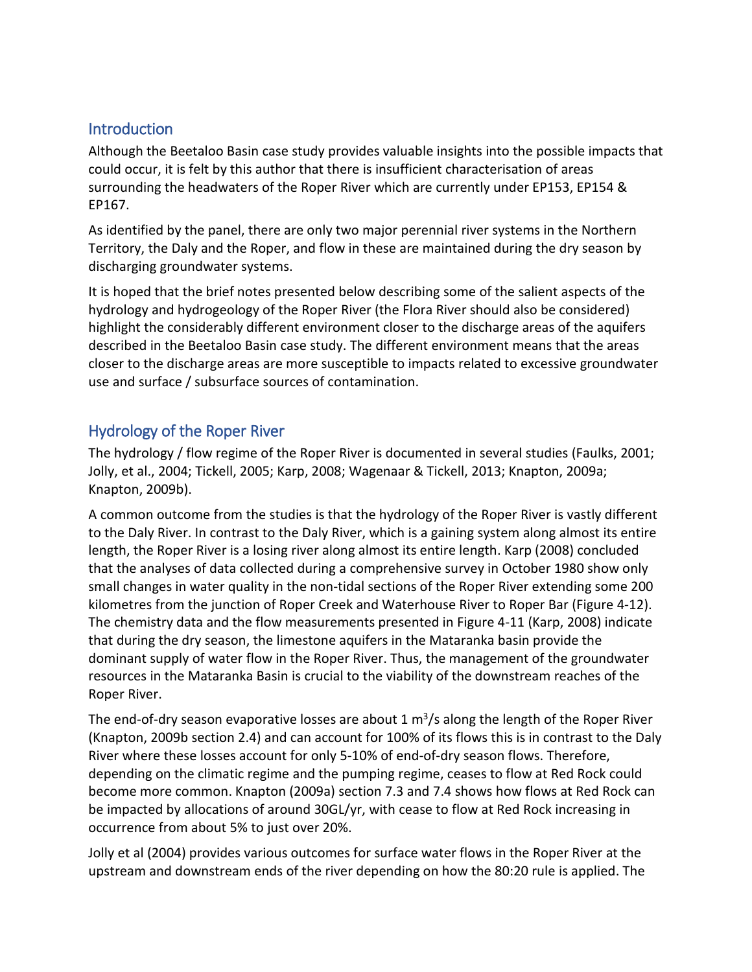### **Introduction**

Although the Beetaloo Basin case study provides valuable insights into the possible impacts that could occur, it is felt by this author that there is insufficient characterisation of areas surrounding the headwaters of the Roper River which are currently under EP153, EP154 & EP167.

As identified by the panel, there are only two major perennial river systems in the Northern Territory, the Daly and the Roper, and flow in these are maintained during the dry season by discharging groundwater systems.

It is hoped that the brief notes presented below describing some of the salient aspects of the hydrology and hydrogeology of the Roper River (the Flora River should also be considered) highlight the considerably different environment closer to the discharge areas of the aquifers described in the Beetaloo Basin case study. The different environment means that the areas closer to the discharge areas are more susceptible to impacts related to excessive groundwater use and surface / subsurface sources of contamination.

## Hydrology of the Roper River

The hydrology / flow regime of the Roper River is documented in several studies (Faulks, 2001; Jolly, et al., 2004; Tickell, 2005; Karp, 2008; Wagenaar & Tickell, 2013; Knapton, 2009a; Knapton, 2009b).

A common outcome from the studies is that the hydrology of the Roper River is vastly different to the Daly River. In contrast to the Daly River, which is a gaining system along almost its entire length, the Roper River is a losing river along almost its entire length. Karp (2008) concluded that the analyses of data collected during a comprehensive survey in October 1980 show only small changes in water quality in the non-tidal sections of the Roper River extending some 200 kilometres from the junction of Roper Creek and Waterhouse River to Roper Bar (Figure 4-12). The chemistry data and the flow measurements presented in Figure 4-11 (Karp, 2008) indicate that during the dry season, the limestone aquifers in the Mataranka basin provide the dominant supply of water flow in the Roper River. Thus, the management of the groundwater resources in the Mataranka Basin is crucial to the viability of the downstream reaches of the Roper River.

The end-of-dry season evaporative losses are about 1  $\text{m}^3$ /s along the length of the Roper River (Knapton, 2009b section 2.4) and can account for 100% of its flows this is in contrast to the Daly River where these losses account for only 5-10% of end-of-dry season flows. Therefore, depending on the climatic regime and the pumping regime, ceases to flow at Red Rock could become more common. Knapton (2009a) section 7.3 and 7.4 shows how flows at Red Rock can be impacted by allocations of around 30GL/yr, with cease to flow at Red Rock increasing in occurrence from about 5% to just over 20%.

Jolly et al (2004) provides various outcomes for surface water flows in the Roper River at the upstream and downstream ends of the river depending on how the 80:20 rule is applied. The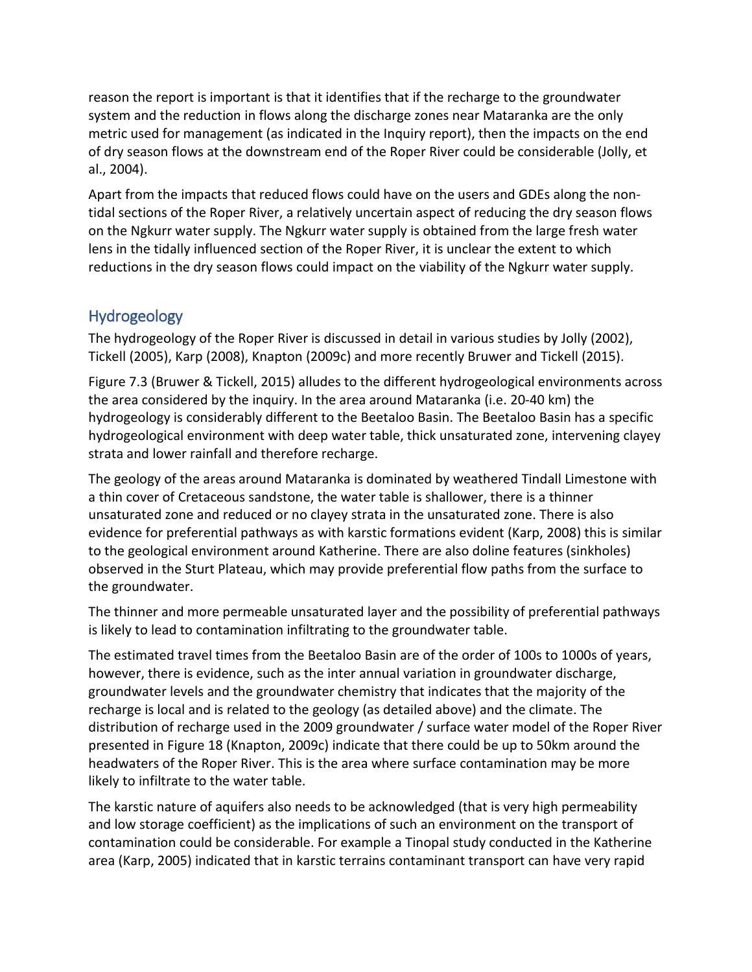reason the report is important is that it identifies that if the recharge to the groundwater system and the reduction in flows along the discharge zones near Mataranka are the only metric used for management (as indicated in the Inquiry report), then the impacts on the end of dry season flows at the downstream end of the Roper River could be considerable (Jolly, et al., 2004).

Apart from the impacts that reduced flows could have on the users and GDEs along the nontidal sections of the Roper River, a relatively uncertain aspect of reducing the dry season flows on the Ngkurr water supply. The Ngkurr water supply is obtained from the large fresh water lens in the tidally influenced section of the Roper River, it is unclear the extent to which reductions in the dry season flows could impact on the viability of the Ngkurr water supply.

## Hydrogeology

The hydrogeology of the Roper River is discussed in detail in various studies by Jolly (2002), Tickell (2005), Karp (2008), Knapton (2009c) and more recently Bruwer and Tickell (2015).

Figure 7.3 (Bruwer & Tickell, 2015) alludes to the different hydrogeological environments across the area considered by the inquiry. In the area around Mataranka (i.e. 20-40 km) the hydrogeology is considerably different to the Beetaloo Basin. The Beetaloo Basin has a specific hydrogeological environment with deep water table, thick unsaturated zone, intervening clayey strata and lower rainfall and therefore recharge.

The geology of the areas around Mataranka is dominated by weathered Tindall Limestone with a thin cover of Cretaceous sandstone, the water table is shallower, there is a thinner unsaturated zone and reduced or no clayey strata in the unsaturated zone. There is also evidence for preferential pathways as with karstic formations evident (Karp, 2008) this is similar to the geological environment around Katherine. There are also doline features (sinkholes) observed in the Sturt Plateau, which may provide preferential flow paths from the surface to the groundwater.

The thinner and more permeable unsaturated layer and the possibility of preferential pathways is likely to lead to contamination infiltrating to the groundwater table.

The estimated travel times from the Beetaloo Basin are of the order of 100s to 1000s of years, however, there is evidence, such as the inter annual variation in groundwater discharge, groundwater levels and the groundwater chemistry that indicates that the majority of the recharge is local and is related to the geology (as detailed above) and the climate. The distribution of recharge used in the 2009 groundwater / surface water model of the Roper River presented in Figure 18 (Knapton, 2009c) indicate that there could be up to 50km around the headwaters of the Roper River. This is the area where surface contamination may be more likely to infiltrate to the water table.

The karstic nature of aquifers also needs to be acknowledged (that is very high permeability and low storage coefficient) as the implications of such an environment on the transport of contamination could be considerable. For example a Tinopal study conducted in the Katherine area (Karp, 2005) indicated that in karstic terrains contaminant transport can have very rapid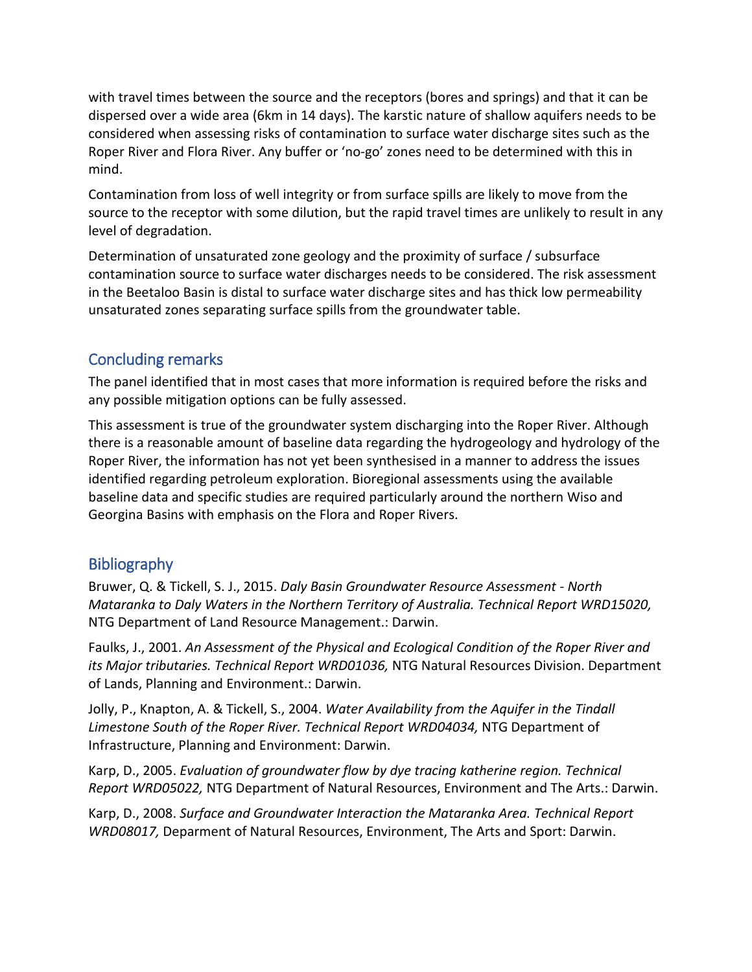with travel times between the source and the receptors (bores and springs) and that it can be dispersed over a wide area (6km in 14 days). The karstic nature of shallow aquifers needs to be considered when assessing risks of contamination to surface water discharge sites such as the Roper River and Flora River. Any buffer or 'no-go' zones need to be determined with this in mind.

Contamination from loss of well integrity or from surface spills are likely to move from the source to the receptor with some dilution, but the rapid travel times are unlikely to result in any level of degradation.

Determination of unsaturated zone geology and the proximity of surface / subsurface contamination source to surface water discharges needs to be considered. The risk assessment in the Beetaloo Basin is distal to surface water discharge sites and has thick low permeability unsaturated zones separating surface spills from the groundwater table.

# Concluding remarks

The panel identified that in most cases that more information is required before the risks and any possible mitigation options can be fully assessed.

This assessment is true of the groundwater system discharging into the Roper River. Although there is a reasonable amount of baseline data regarding the hydrogeology and hydrology of the Roper River, the information has not yet been synthesised in a manner to address the issues identified regarding petroleum exploration. Bioregional assessments using the available baseline data and specific studies are required particularly around the northern Wiso and Georgina Basins with emphasis on the Flora and Roper Rivers.

## **Bibliography**

Bruwer, Q. & Tickell, S. J., 2015. *Daly Basin Groundwater Resource Assessment - North Mataranka to Daly Waters in the Northern Territory of Australia. Technical Report WRD15020,*  NTG Department of Land Resource Management.: Darwin.

Faulks, J., 2001. *An Assessment of the Physical and Ecological Condition of the Roper River and its Major tributaries. Technical Report WRD01036,* NTG Natural Resources Division. Department of Lands, Planning and Environment.: Darwin.

Jolly, P., Knapton, A. & Tickell, S., 2004. *Water Availability from the Aquifer in the Tindall Limestone South of the Roper River. Technical Report WRD04034,* NTG Department of Infrastructure, Planning and Environment: Darwin.

Karp, D., 2005. *Evaluation of groundwater flow by dye tracing katherine region. Technical Report WRD05022,* NTG Department of Natural Resources, Environment and The Arts.: Darwin.

Karp, D., 2008. *Surface and Groundwater Interaction the Mataranka Area. Technical Report WRD08017,* Deparment of Natural Resources, Environment, The Arts and Sport: Darwin.